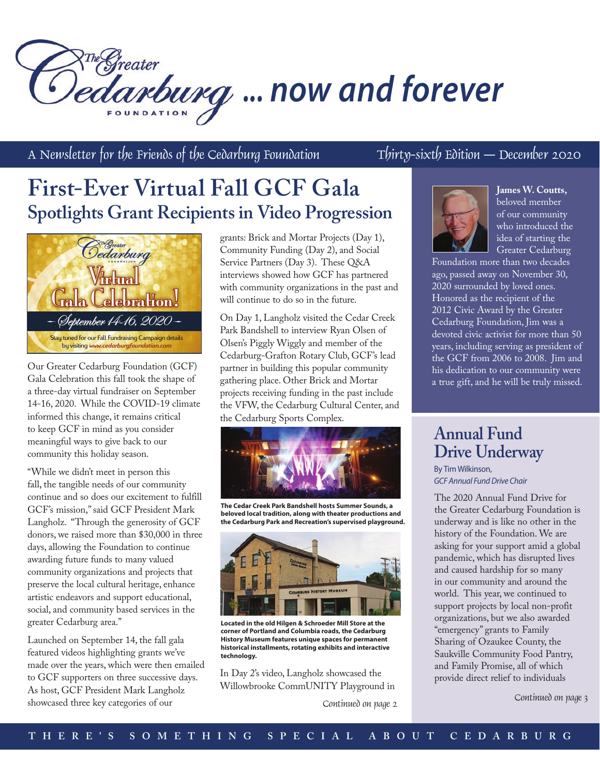# redreater *... now and forever*

A Newsletter for the Friends of the Cedarburg Foundation  $T$ hirty-sixth Edition – December 2020

## **First-Ever Virtual Fall GCF Gala Spotlights Grant Recipients in Video Progression**



Our Greater Cedarburg Foundation (GCF) Gala Celebration this fall took the shape of a three-day virtual fundraiser on September 14-16, 2020. While the COVID-19 climate informed this change, it remains critical to keep GCF in mind as you consider meaningful ways to give back to our community this holiday season.

"While we didn't meet in person this fall, the tangible needs of our community continue and so does our excitement to fulfill GCF's mission," said GCF President Mark Langholz. "Through the generosity of GCF donors, we raised more than \$30,000 in three days, allowing the Foundation to continue awarding future funds to many valued community organizations and projects that preserve the local cultural heritage, enhance artistic endeavors and support educational, social, and community based services in the greater Cedarburg area."

Launched on September 14, the fall gala featured videos highlighting grants we've made over the years, which were then emailed to GCF supporters on three successive days. As host, GCF President Mark Langholz showcased three key categories of our

grants: Brick and Mortar Projects (Day 1), Community Funding (Day 2), and Social Service Partners (Day 3). These Q&A interviews showed how GCF has partnered with community organizations in the past and will continue to do so in the future.

On Day 1, Langholz visited the Cedar Creek Park Bandshell to interview Ryan Olsen of Olsen's Piggly Wiggly and member of the Cedarburg-Grafton Rotary Club, GCF's lead partner in building this popular community gathering place. Other Brick and Mortar projects receiving funding in the past include the VFW, the Cedarburg Cultural Center, and the Cedarburg Sports Complex.



**The Cedar Creek Park Bandshell hosts Summer Sounds, a beloved local tradition, along with theater productions and the Cedarburg Park and Recreation's supervised playground.**



**Located in the old Hilgen & Schroeder Mill Store at the corner of Portland and Columbia roads, the Cedarburg History Museum features unique spaces for permanent historical installments, rotating exhibits and interactive technology.**

In Day 2's video, Langholz showcased the Willowbrooke CommUNITY Playground in

Continued on page 2



**James W. Coutts,**  beloved member of our community who introduced the idea of starting the Greater Cedarburg

Foundation more than two decades ago, passed away on November 30, 2020 surrounded by loved ones. Honored as the recipient of the 2012 Civic Award by the Greater Cedarburg Foundation, Jim was a devoted civic activist for more than 50 years, including serving as president of the GCF from 2006 to 2008. Jim and his dedication to our community were a true gift, and he will be truly missed.

### **Annual Fund Drive Underway**

By Tim Wilkinson, *GCF Annual Fund Drive Chair*

The 2020 Annual Fund Drive for the Greater Cedarburg Foundation is underway and is like no other in the history of the Foundation. We are asking for your support amid a global pandemic, which has disrupted lives and caused hardship for so many in our community and around the world. This year, we continued to support projects by local non-profit organizations, but we also awarded "emergency" grants to Family Sharing of Ozaukee County, the Saukville Community Food Pantry, and Family Promise, all of which provide direct relief to individuals

Continued on page 3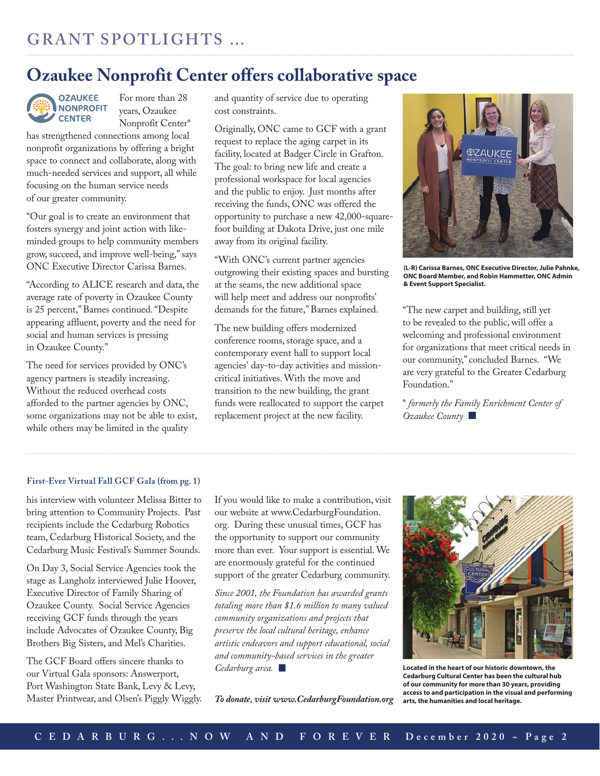### **Ozaukee Nonprofit Center offers collaborative space**



For more than 28 years, Ozaukee Nonprofit Center\*

has strengthened connections among local nonprofit organizations by offering a bright space to connect and collaborate, along with much-needed services and support, all while focusing on the human service needs of our greater community.

"Our goal is to create an environment that fosters synergy and joint action with likeminded groups to help community members grow, succeed, and improve well-being," says ONC Executive Director Carissa Barnes.

"According to ALICE research and data, the average rate of poverty in Ozaukee County is 25 percent," Barnes continued. "Despite appearing affluent, poverty and the need for social and human services is pressing in Ozaukee County."

The need for services provided by ONC's agency partners is steadily increasing. Without the reduced overhead costs afforded to the partner agencies by ONC, some organizations may not be able to exist, while others may be limited in the quality

and quantity of service due to operating cost constraints.

Originally, ONC came to GCF with a grant request to replace the aging carpet in its facility, located at Badger Circle in Grafton. The goal: to bring new life and create a professional workspace for local agencies and the public to enjoy. Just months after receiving the funds, ONC was offered the opportunity to purchase a new 42,000-squarefoot building at Dakota Drive, just one mile away from its original facility.

"With ONC's current partner agencies outgrowing their existing spaces and bursting at the seams, the new additional space will help meet and address our nonprofits' demands for the future," Barnes explained.

The new building offers modernized conference rooms, storage space, and a contemporary event hall to support local agencies' day-to-day activities and missioncritical initiatives. With the move and transition to the new building, the grant funds were reallocated to support the carpet replacement project at the new facility.



**(L-R) Carissa Barnes, ONC Executive Director, Julie Pahnke, ONC Board Member, and Robin Hammetter, ONC Admin & Event Support Specialist.**

"The new carpet and building, still yet to be revealed to the public, will offer a welcoming and professional environment for organizations that meet critical needs in our community," concluded Barnes. "We are very grateful to the Greater Cedarburg Foundation."

\* *formerly the Family Enrichment Center of Ozaukee County* 

### **First-Ever Virtual Fall GCF Gala (from pg. 1)**

his interview with volunteer Melissa Bitter to bring attention to Community Projects. Past recipients include the Cedarburg Robotics team, Cedarburg Historical Society, and the Cedarburg Music Festival's Summer Sounds.

On Day 3, Social Service Agencies took the stage as Langholz interviewed Julie Hoover, Executive Director of Family Sharing of Ozaukee County. Social Service Agencies receiving GCF funds through the years include Advocates of Ozaukee County, Big Brothers Big Sisters, and Mel's Charities.

The GCF Board offers sincere thanks to our Virtual Gala sponsors: Answerport, Port Washington State Bank, Levy & Levy, Master Printwear, and Olsen's Piggly Wiggly. If you would like to make a contribution, visit our website at www.CedarburgFoundation. org. During these unusual times, GCF has the opportunity to support our community more than ever. Your support is essential. We are enormously grateful for the continued support of the greater Cedarburg community.

*Since 2001, the Foundation has awarded grants totaling more than \$1.6 million to many valued community organizations and projects that preserve the local cultural heritage, enhance artistic endeavors and support educational, social and community-based services in the greater Cedarburg area.* 

*To donate, visit www.CedarburgFoundation.org*



**Located in the heart of our historic downtown, the Cedarburg Cultural Center has been the cultural hub of our community for more than 30 years, providing access to and participation in the visual and performing arts, the humanities and local heritage.**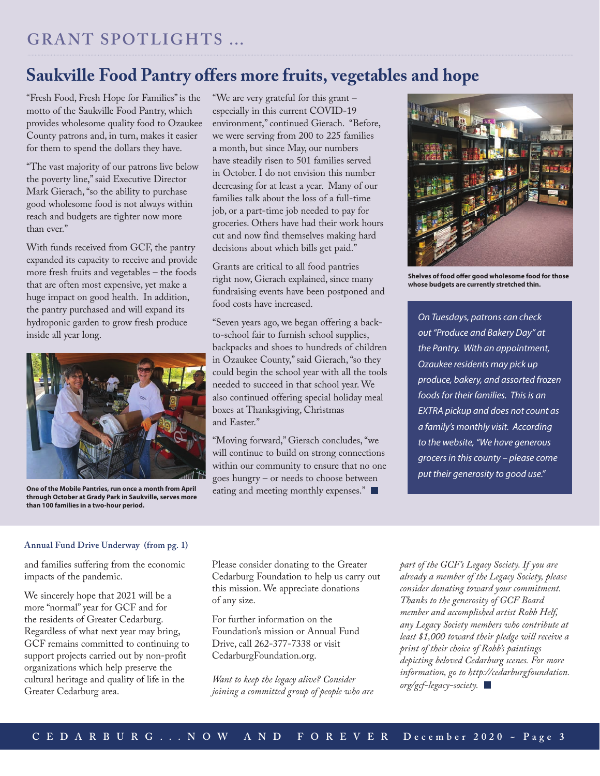### **Saukville Food Pantry offers more fruits, vegetables and hope**

"Fresh Food, Fresh Hope for Families" is the motto of the Saukville Food Pantry, which provides wholesome quality food to Ozaukee County patrons and, in turn, makes it easier for them to spend the dollars they have.

"The vast majority of our patrons live below the poverty line," said Executive Director Mark Gierach, "so the ability to purchase good wholesome food is not always within reach and budgets are tighter now more than ever."

With funds received from GCF, the pantry expanded its capacity to receive and provide more fresh fruits and vegetables – the foods that are often most expensive, yet make a huge impact on good health. In addition, the pantry purchased and will expand its hydroponic garden to grow fresh produce inside all year long.



**One of the Mobile Pantries, run once a month from April through October at Grady Park in Saukville, serves more than 100 families in a two-hour period.**

"We are very grateful for this grant – especially in this current COVID-19 environment," continued Gierach. "Before, we were serving from 200 to 225 families a month, but since May, our numbers have steadily risen to 501 families served in October. I do not envision this number decreasing for at least a year. Many of our families talk about the loss of a full-time job, or a part-time job needed to pay for groceries. Others have had their work hours cut and now find themselves making hard decisions about which bills get paid."

Grants are critical to all food pantries right now, Gierach explained, since many fundraising events have been postponed and food costs have increased.

"Seven years ago, we began offering a backto-school fair to furnish school supplies, backpacks and shoes to hundreds of children in Ozaukee County," said Gierach, "so they could begin the school year with all the tools needed to succeed in that school year. We also continued offering special holiday meal boxes at Thanksgiving, Christmas and Easter."

"Moving forward," Gierach concludes, "we will continue to build on strong connections within our community to ensure that no one goes hungry – or needs to choose between eating and meeting monthly expenses."



**Shelves of food offer good wholesome food for those whose budgets are currently stretched thin.**

*On Tuesdays, patrons can check out "Produce and Bakery Day" at the Pantry. With an appointment, Ozaukee residents may pick up produce, bakery, and assorted frozen foods for their families. This is an EXTRA pickup and does not count as a family's monthly visit. According to the website, "We have generous grocers in this county – please come put their generosity to good use."* 

### **Annual Fund Drive Underway (from pg. 1)**

and families suffering from the economic impacts of the pandemic.

We sincerely hope that 2021 will be a more "normal" year for GCF and for the residents of Greater Cedarburg. Regardless of what next year may bring, GCF remains committed to continuing to support projects carried out by non-profit organizations which help preserve the cultural heritage and quality of life in the Greater Cedarburg area.

Please consider donating to the Greater Cedarburg Foundation to help us carry out this mission. We appreciate donations of any size.

For further information on the Foundation's mission or Annual Fund Drive, call 262-377-7338 or visit CedarburgFoundation.org.

*Want to keep the legacy alive? Consider joining a committed group of people who are*  *part of the GCF's Legacy Society. If you are already a member of the Legacy Society, please consider donating toward your commitment. Thanks to the generosity of GCF Board member and accomplished artist Robb Helf, any Legacy Society members who contribute at least \$1,000 toward their pledge will receive a print of their choice of Robb's paintings depicting beloved Cedarburg scenes. For more information, go to http://cedarburgfoundation. org/gcf-legacy-society.*